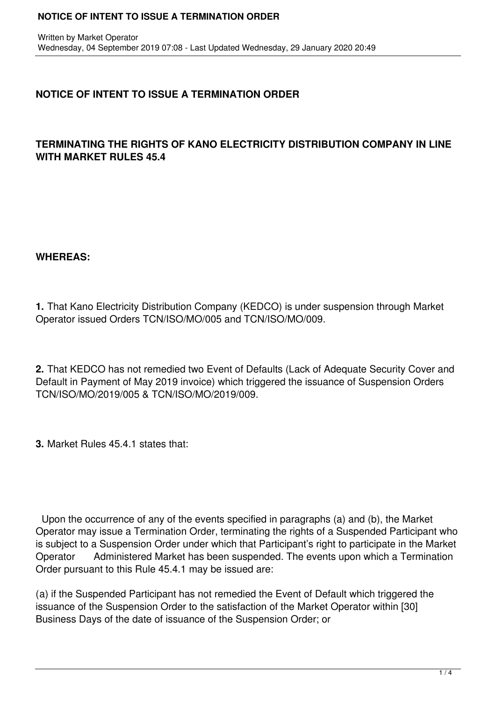#### **NOTICE OF INTENT TO ISSUE A TERMINATION ORDER**

# **NOTICE OF INTENT TO ISSUE A TERMINATION ORDER**

### **TERMINATING THE RIGHTS OF KANO ELECTRICITY DISTRIBUTION COMPANY IN LINE WITH MARKET RULES 45.4**

#### **WHEREAS:**

**1.** That Kano Electricity Distribution Company (KEDCO) is under suspension through Market Operator issued Orders TCN/ISO/MO/005 and TCN/ISO/MO/009.

**2.** That KEDCO has not remedied two Event of Defaults (Lack of Adequate Security Cover and Default in Payment of May 2019 invoice) which triggered the issuance of Suspension Orders TCN/ISO/MO/2019/005 & TCN/ISO/MO/2019/009.

**3.** Market Rules 45.4.1 states that:

 Upon the occurrence of any of the events specified in paragraphs (a) and (b), the Market Operator may issue a Termination Order, terminating the rights of a Suspended Participant who is subject to a Suspension Order under which that Participant's right to participate in the Market Operator Administered Market has been suspended. The events upon which a Termination Order pursuant to this Rule 45.4.1 may be issued are:

(a) if the Suspended Participant has not remedied the Event of Default which triggered the issuance of the Suspension Order to the satisfaction of the Market Operator within [30] Business Days of the date of issuance of the Suspension Order; or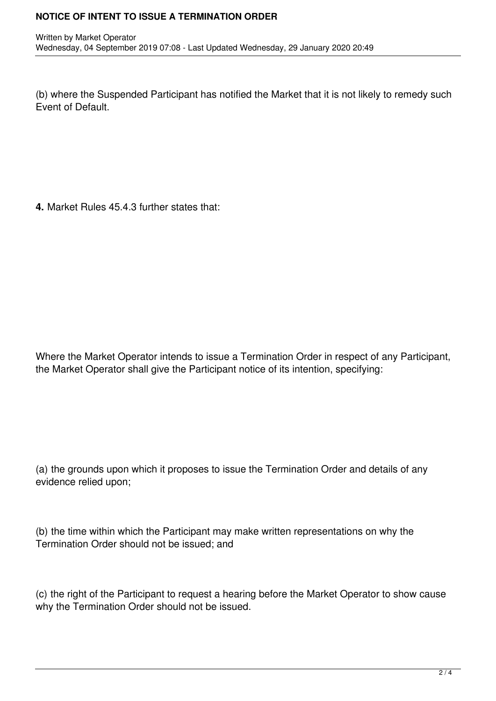(b) where the Suspended Participant has notified the Market that it is not likely to remedy such Event of Default.

**4.** Market Rules 45.4.3 further states that:

Where the Market Operator intends to issue a Termination Order in respect of any Participant, the Market Operator shall give the Participant notice of its intention, specifying:

(a) the grounds upon which it proposes to issue the Termination Order and details of any evidence relied upon;

(b) the time within which the Participant may make written representations on why the Termination Order should not be issued; and

(c) the right of the Participant to request a hearing before the Market Operator to show cause why the Termination Order should not be issued.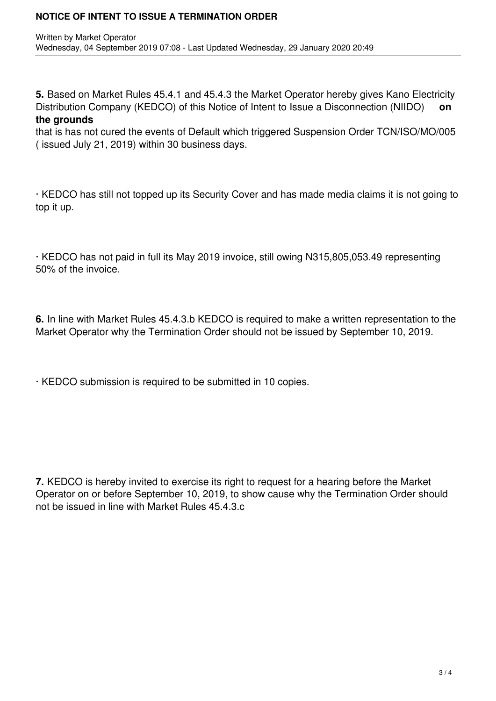#### **NOTICE OF INTENT TO ISSUE A TERMINATION ORDER**

**5.** Based on Market Rules 45.4.1 and 45.4.3 the Market Operator hereby gives Kano Electricity Distribution Company (KEDCO) of this Notice of Intent to Issue a Disconnection (NIIDO) **on the grounds**

that is has not cured the events of Default which triggered Suspension Order TCN/ISO/MO/005 ( issued July 21, 2019) within 30 business days.

· KEDCO has still not topped up its Security Cover and has made media claims it is not going to top it up.

· KEDCO has not paid in full its May 2019 invoice, still owing N315,805,053.49 representing 50% of the invoice.

**6.** In line with Market Rules 45.4.3.b KEDCO is required to make a written representation to the Market Operator why the Termination Order should not be issued by September 10, 2019.

· KEDCO submission is required to be submitted in 10 copies.

**7.** KEDCO is hereby invited to exercise its right to request for a hearing before the Market Operator on or before September 10, 2019, to show cause why the Termination Order should not be issued in line with Market Rules 45.4.3.c